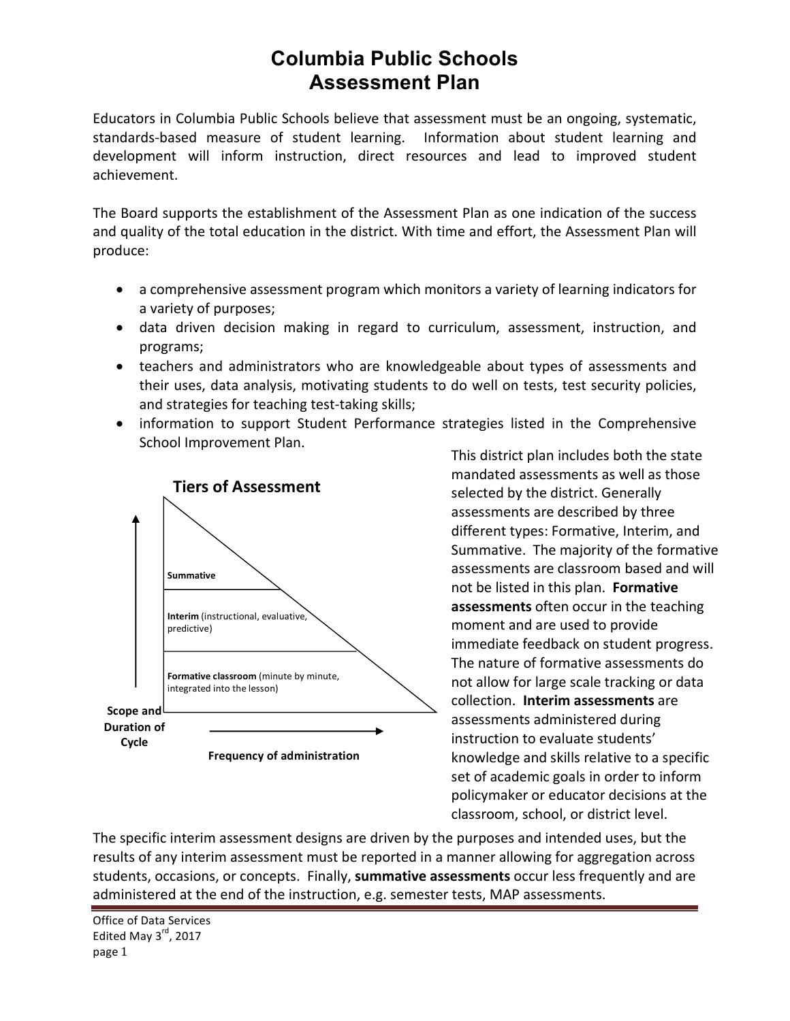## **Columbia Public Schools Assessment Plan**

Educators in Columbia Public Schools believe that assessment must be an ongoing, systematic, standards-based measure of student learning. Information about student learning and development will inform instruction, direct resources and lead to improved student achievement.

The Board supports the establishment of the Assessment Plan as one indication of the success and quality of the total education in the district. With time and effort, the Assessment Plan will produce: 

- a comprehensive assessment program which monitors a variety of learning indicators for a variety of purposes;
- data driven decision making in regard to curriculum, assessment, instruction, and programs;
- teachers and administrators who are knowledgeable about types of assessments and their uses, data analysis, motivating students to do well on tests, test security policies, and strategies for teaching test-taking skills;
- information to support Student Performance strategies listed in the Comprehensive School Improvement Plan.



This district plan includes both the state mandated assessments as well as those selected by the district. Generally assessments are described by three different types: Formative, Interim, and Summative. The majority of the formative assessments are classroom based and will not be listed in this plan. **Formative assessments** often occur in the teaching moment and are used to provide immediate feedback on student progress. The nature of formative assessments do not allow for large scale tracking or data collection. **Interim assessments** are assessments administered during instruction to evaluate students' knowledge and skills relative to a specific set of academic goals in order to inform policymaker or educator decisions at the classroom, school, or district level.

The specific interim assessment designs are driven by the purposes and intended uses, but the results of any interim assessment must be reported in a manner allowing for aggregation across students, occasions, or concepts. Finally, **summative assessments** occur less frequently and are administered at the end of the instruction, e.g. semester tests, MAP assessments.

Office of Data Services Edited May  $3<sup>rd</sup>$ , 2017 page 1